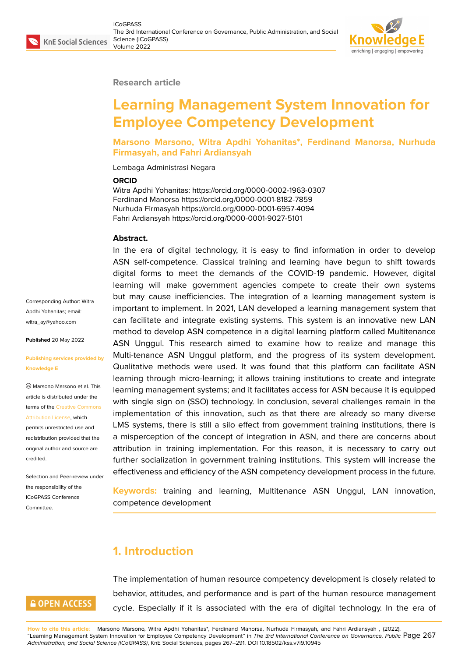#### **Research article**

# **Learning Management System Innovation for Employee Competency Development**

**Marsono Marsono, Witra Apdhi Yohanitas\*, Ferdinand Manorsa, Nurhuda Firmasyah, and Fahri Ardiansyah**

Lembaga Administrasi Negara

#### **ORCID**

Witra Apdhi Yohanitas: https://orcid.org/0000-0002-1963-0307 Ferdinand Manorsa https://orcid.org/0000-0001-8182-7859 Nurhuda Firmasyah https://orcid.org/0000-0001-6957-4094 Fahri Ardiansyah https://orcid.org/0000-0001-9027-5101

#### **Abstract.**

Corresponding Author: Witra Apdhi Yohanitas; email: witra\_ay@yahoo.com

**Published** 20 May 2022

#### **[Publishing services p](mailto:witra_ay@yahoo.com)rovided by Knowledge E**

Marsono Marsono et al. This article is distributed under the terms of the Creative Commons Attribution License, which

permits unrestricted use and redistribution provided that the original auth[or and source are](https://creativecommons.org/licenses/by/4.0/) [credited.](https://creativecommons.org/licenses/by/4.0/)

Selection and Peer-review under the responsibility of the ICoGPASS Conference Committee.

**GOPEN ACCESS** 

In the era of digital technology, it is easy to find information in order to develop ASN self-competence. Classical training and learning have begun to shift towards digital forms to meet the demands of the COVID-19 pandemic. However, digital learning will make government agencies compete to create their own systems but may cause inefficiencies. The integration of a learning management system is important to implement. In 2021, LAN developed a learning management system that can facilitate and integrate existing systems. This system is an innovative new LAN method to develop ASN competence in a digital learning platform called Multitenance ASN Unggul. This research aimed to examine how to realize and manage this Multi-tenance ASN Unggul platform, and the progress of its system development. Qualitative methods were used. It was found that this platform can facilitate ASN learning through micro-learning; it allows training institutions to create and integrate learning management systems; and it facilitates access for ASN because it is equipped with single sign on (SSO) technology. In conclusion, several challenges remain in the implementation of this innovation, such as that there are already so many diverse LMS systems, there is still a silo effect from government training institutions, there is a misperception of the concept of integration in ASN, and there are concerns about attribution in training implementation. For this reason, it is necessary to carry out further socialization in government training institutions. This system will increase the effectiveness and efficiency of the ASN competency development process in the future.

**Keywords:** training and learning, Multitenance ASN Unggul, LAN innovation, competence development

# **1. Introduction**

The implementation of human resource competency development is closely related to behavior, attitudes, and performance and is part of the human resource management cycle. Especially if it is associated with the era of digital technology. In the era of

**How to cite this article**: Marsono Marsono, Witra Apdhi Yohanitas\*, Ferdinand Manorsa, Nurhuda Firmasyah, and Fahri Ardiansyah , (2022), "Learning Management System Innovation for Employee Competency Development" in *The 3rd International Conference on Governance, Public* Page 267 *Administration, and Social Science (ICoGPASS)*, KnE Social Sciences, pages 267–291. DOI 10.18502/kss.v7i9.10945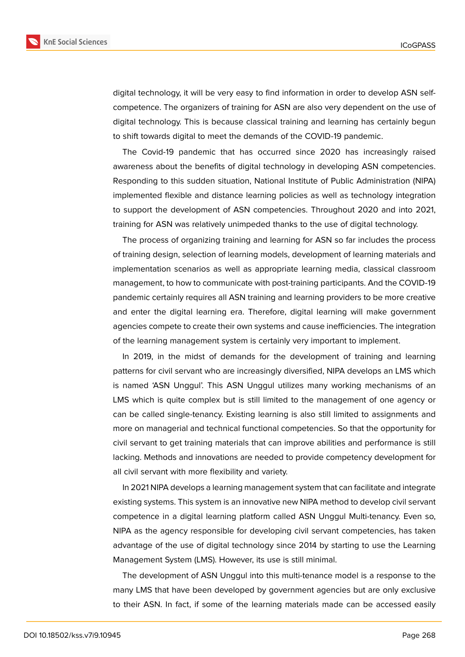

digital technology, it will be very easy to find information in order to develop ASN selfcompetence. The organizers of training for ASN are also very dependent on the use of digital technology. This is because classical training and learning has certainly begun to shift towards digital to meet the demands of the COVID-19 pandemic.

The Covid-19 pandemic that has occurred since 2020 has increasingly raised awareness about the benefits of digital technology in developing ASN competencies. Responding to this sudden situation, National Institute of Public Administration (NIPA) implemented flexible and distance learning policies as well as technology integration to support the development of ASN competencies. Throughout 2020 and into 2021, training for ASN was relatively unimpeded thanks to the use of digital technology.

The process of organizing training and learning for ASN so far includes the process of training design, selection of learning models, development of learning materials and implementation scenarios as well as appropriate learning media, classical classroom management, to how to communicate with post-training participants. And the COVID-19 pandemic certainly requires all ASN training and learning providers to be more creative and enter the digital learning era. Therefore, digital learning will make government agencies compete to create their own systems and cause inefficiencies. The integration of the learning management system is certainly very important to implement.

In 2019, in the midst of demands for the development of training and learning patterns for civil servant who are increasingly diversified, NIPA develops an LMS which is named 'ASN Unggul'. This ASN Unggul utilizes many working mechanisms of an LMS which is quite complex but is still limited to the management of one agency or can be called single-tenancy. Existing learning is also still limited to assignments and more on managerial and technical functional competencies. So that the opportunity for civil servant to get training materials that can improve abilities and performance is still lacking. Methods and innovations are needed to provide competency development for all civil servant with more flexibility and variety.

In 2021 NIPA develops a learning management system that can facilitate and integrate existing systems. This system is an innovative new NIPA method to develop civil servant competence in a digital learning platform called ASN Unggul Multi-tenancy. Even so, NIPA as the agency responsible for developing civil servant competencies, has taken advantage of the use of digital technology since 2014 by starting to use the Learning Management System (LMS). However, its use is still minimal.

The development of ASN Unggul into this multi-tenance model is a response to the many LMS that have been developed by government agencies but are only exclusive to their ASN. In fact, if some of the learning materials made can be accessed easily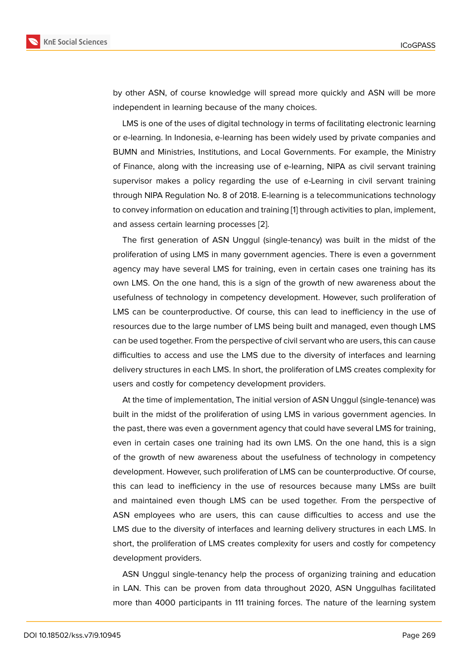by other ASN, of course knowledge will spread more quickly and ASN will be more independent in learning because of the many choices.

LMS is one of the uses of digital technology in terms of facilitating electronic learning or e-learning. In Indonesia, e-learning has been widely used by private companies and BUMN and Ministries, Institutions, and Local Governments. For example, the Ministry of Finance, along with the increasing use of e-learning, NIPA as civil servant training supervisor makes a policy regarding the use of e-Learning in civil servant training through NIPA Regulation No. 8 of 2018. E-learning is a telecommunications technology to convey information on education and training [1] through activities to plan, implement, and assess certain learning processes [2].

The first generation of ASN Unggul (single-tenancy) was built in the midst of the proliferation of using LMS in many government [ag](#page-23-0)encies. There is even a government agency may have several LMS for trai[nin](#page-23-1)g, even in certain cases one training has its own LMS. On the one hand, this is a sign of the growth of new awareness about the usefulness of technology in competency development. However, such proliferation of LMS can be counterproductive. Of course, this can lead to inefficiency in the use of resources due to the large number of LMS being built and managed, even though LMS can be used together. From the perspective of civil servant who are users, this can cause difficulties to access and use the LMS due to the diversity of interfaces and learning delivery structures in each LMS. In short, the proliferation of LMS creates complexity for users and costly for competency development providers.

At the time of implementation, The initial version of ASN Unggul (single-tenance) was built in the midst of the proliferation of using LMS in various government agencies. In the past, there was even a government agency that could have several LMS for training, even in certain cases one training had its own LMS. On the one hand, this is a sign of the growth of new awareness about the usefulness of technology in competency development. However, such proliferation of LMS can be counterproductive. Of course, this can lead to inefficiency in the use of resources because many LMSs are built and maintained even though LMS can be used together. From the perspective of ASN employees who are users, this can cause difficulties to access and use the LMS due to the diversity of interfaces and learning delivery structures in each LMS. In short, the proliferation of LMS creates complexity for users and costly for competency development providers.

ASN Unggul single-tenancy help the process of organizing training and education in LAN. This can be proven from data throughout 2020, ASN Unggulhas facilitated more than 4000 participants in 111 training forces. The nature of the learning system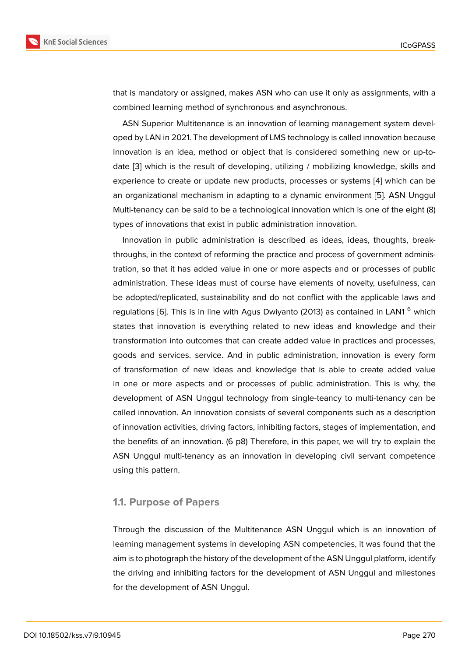that is mandatory or assigned, makes ASN who can use it only as assignments, with a combined learning method of synchronous and asynchronous.

ASN Superior Multitenance is an innovation of learning management system developed by LAN in 2021. The development of LMS technology is called innovation because Innovation is an idea, method or object that is considered something new or up-todate [3] which is the result of developing, utilizing / mobilizing knowledge, skills and experience to create or update new products, processes or systems [4] which can be an organizational mechanism in adapting to a dynamic environment [5]. ASN Unggul Multi-[te](#page-23-2)nancy can be said to be a technological innovation which is one of the eight (8) types of innovations that exist in public administration innovation.

Innovation in public administration is described as ideas, ideas, t[ho](#page-23-3)ughts, breakthroughs, in the context of reforming the practice and process of government administration, so that it has added value in one or more aspects and or processes of public administration. These ideas must of course have elements of novelty, usefulness, can be adopted/replicated, sustainability and do not conflict with the applicable laws and regulations [6]. This is in line with Agus Dwiyanto (2013) as contained in LAN1<sup>6</sup> which states that innovation is everything related to new ideas and knowledge and their transformation into outcomes that can create added value in practices and processes, goods and [se](#page-23-4)rvices. service. And in public administration, innovation is every form of transformation of new ideas and knowledge that is able to create added value in one or more aspects and or processes of public administration. This is why, the development of ASN Unggul technology from single-teancy to multi-tenancy can be called innovation. An innovation consists of several components such as a description of innovation activities, driving factors, inhibiting factors, stages of implementation, and the benefits of an innovation. (6 p8) Therefore, in this paper, we will try to explain the ASN Unggul multi-tenancy as an innovation in developing civil servant competence using this pattern.

#### **1.1. Purpose of Papers**

Through the discussion of the Multitenance ASN Unggul which is an innovation of learning management systems in developing ASN competencies, it was found that the aim is to photograph the history of the development of the ASN Unggul platform, identify the driving and inhibiting factors for the development of ASN Unggul and milestones for the development of ASN Unggul.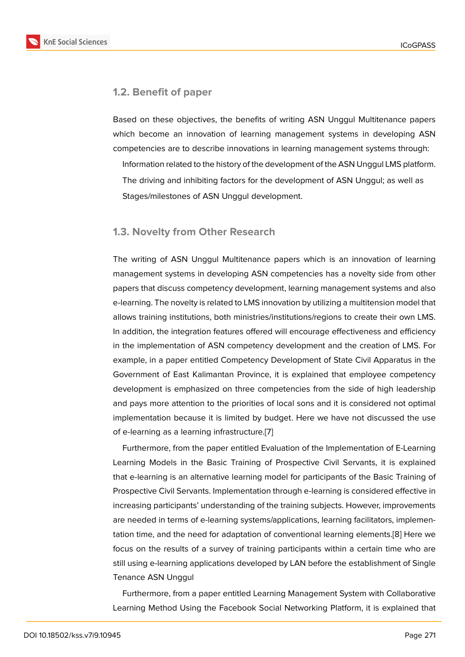#### **1.2. Benefit of paper**

Based on these objectives, the benefits of writing ASN Unggul Multitenance papers which become an innovation of learning management systems in developing ASN competencies are to describe innovations in learning management systems through:

Information related to the history of the development of the ASN Unggul LMS platform. The driving and inhibiting factors for the development of ASN Unggul; as well as Stages/milestones of ASN Unggul development.

#### **1.3. Novelty from Other Research**

The writing of ASN Unggul Multitenance papers which is an innovation of learning management systems in developing ASN competencies has a novelty side from other papers that discuss competency development, learning management systems and also e-learning. The novelty is related to LMS innovation by utilizing a multitension model that allows training institutions, both ministries/institutions/regions to create their own LMS. In addition, the integration features offered will encourage effectiveness and efficiency in the implementation of ASN competency development and the creation of LMS. For example, in a paper entitled Competency Development of State Civil Apparatus in the Government of East Kalimantan Province, it is explained that employee competency development is emphasized on three competencies from the side of high leadership and pays more attention to the priorities of local sons and it is considered not optimal implementation because it is limited by budget. Here we have not discussed the use of e-learning as a learning infrastructure.[7]

Furthermore, from the paper entitled Evaluation of the Implementation of E-Learning Learning Models in the Basic Training of Prospective Civil Servants, it is explained that e-learning is an alternative learning [mo](#page-23-5)del for participants of the Basic Training of Prospective Civil Servants. Implementation through e-learning is considered effective in increasing participants' understanding of the training subjects. However, improvements are needed in terms of e-learning systems/applications, learning facilitators, implementation time, and the need for adaptation of conventional learning elements.[8] Here we focus on the results of a survey of training participants within a certain time who are still using e-learning applications developed by LAN before the establishment of Single Tenance ASN Unggul

Furthermore, from a paper entitled Learning Management System with Collaborative Learning Method Using the Facebook Social Networking Platform, it is explained that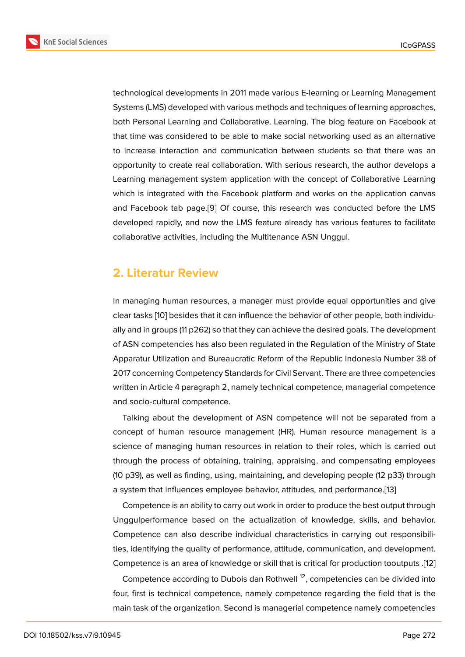technological developments in 2011 made various E-learning or Learning Management Systems (LMS) developed with various methods and techniques of learning approaches, both Personal Learning and Collaborative. Learning. The blog feature on Facebook at that time was considered to be able to make social networking used as an alternative to increase interaction and communication between students so that there was an opportunity to create real collaboration. With serious research, the author develops a Learning management system application with the concept of Collaborative Learning which is integrated with the Facebook platform and works on the application canvas and Facebook tab page.[9] Of course, this research was conducted before the LMS developed rapidly, and now the LMS feature already has various features to facilitate collaborative activities, including the Multitenance ASN Unggul.

### **2. Literatur Review**

In managing human resources, a manager must provide equal opportunities and give clear tasks [10] besides that it can influence the behavior of other people, both individually and in groups (11 p262) so that they can achieve the desired goals. The development of ASN competencies has also been regulated in the Regulation of the Ministry of State Apparatur [Util](#page-23-6)ization and Bureaucratic Reform of the Republic Indonesia Number 38 of 2017 concerning Competency Standards for Civil Servant. There are three competencies written in Article 4 paragraph 2, namely technical competence, managerial competence and socio-cultural competence.

Talking about the development of ASN competence will not be separated from a concept of human resource management (HR). Human resource management is a science of managing human resources in relation to their roles, which is carried out through the process of obtaining, training, appraising, and compensating employees (10 p39), as well as finding, using, maintaining, and developing people (12 p33) through a system that influences employee behavior, attitudes, and performance.[13]

Competence is an ability to carry out work in order to produce the best output through Unggulperformance based on the actualization of knowledge, skills, and behavior. Competence can also describe individual characteristics in carrying ou[t re](#page-23-7)sponsibilities, identifying the quality of performance, attitude, communication, and development. Competence is an area of knowledge or skill that is critical for production tooutputs .[12]

Competence according to Dubois dan Rothwell  $^{12}$ , competencies can be divided into four, first is technical competence, namely competence regarding the field that is the main task of the organization. Second is managerial competence namely competenc[ies](#page-23-8)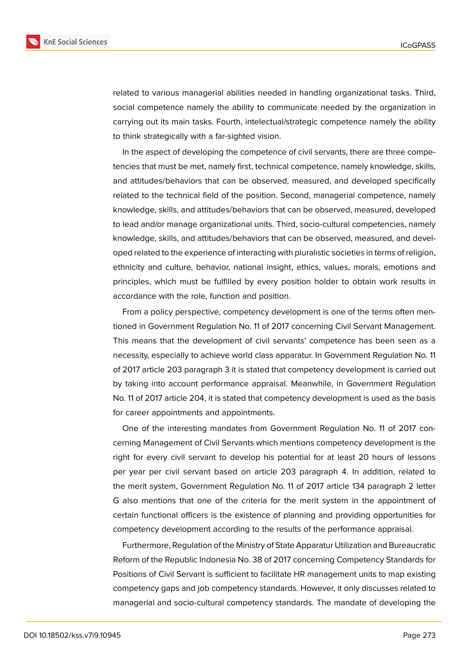

related to various managerial abilities needed in handling organizational tasks. Third, social competence namely the ability to communicate needed by the organization in carrying out its main tasks. Fourth, intelectual/strategic competence namely the ability to think strategically with a far-sighted vision.

In the aspect of developing the competence of civil servants, there are three competencies that must be met, namely first, technical competence, namely knowledge, skills, and attitudes/behaviors that can be observed, measured, and developed specifically related to the technical field of the position. Second, managerial competence, namely knowledge, skills, and attitudes/behaviors that can be observed, measured, developed to lead and/or manage organizational units. Third, socio-cultural competencies, namely knowledge, skills, and attitudes/behaviors that can be observed, measured, and developed related to the experience of interacting with pluralistic societies in terms of religion, ethnicity and culture, behavior, national insight, ethics, values, morals, emotions and principles, which must be fulfilled by every position holder to obtain work results in accordance with the role, function and position.

From a policy perspective, competency development is one of the terms often mentioned in Government Regulation No. 11 of 2017 concerning Civil Servant Management. This means that the development of civil servants' competence has been seen as a necessity, especially to achieve world class apparatur. In Government Regulation No. 11 of 2017 article 203 paragraph 3 it is stated that competency development is carried out by taking into account performance appraisal. Meanwhile, in Government Regulation No. 11 of 2017 article 204, it is stated that competency development is used as the basis for career appointments and appointments.

One of the interesting mandates from Government Regulation No. 11 of 2017 concerning Management of Civil Servants which mentions competency development is the right for every civil servant to develop his potential for at least 20 hours of lessons per year per civil servant based on article 203 paragraph 4. In addition, related to the merit system, Government Regulation No. 11 of 2017 article 134 paragraph 2 letter G also mentions that one of the criteria for the merit system in the appointment of certain functional officers is the existence of planning and providing opportunities for competency development according to the results of the performance appraisal.

Furthermore, Regulation of the Ministry of State Apparatur Utilization and Bureaucratic Reform of the Republic Indonesia No. 38 of 2017 concerning Competency Standards for Positions of Civil Servant is sufficient to facilitate HR management units to map existing competency gaps and job competency standards. However, it only discusses related to managerial and socio-cultural competency standards. The mandate of developing the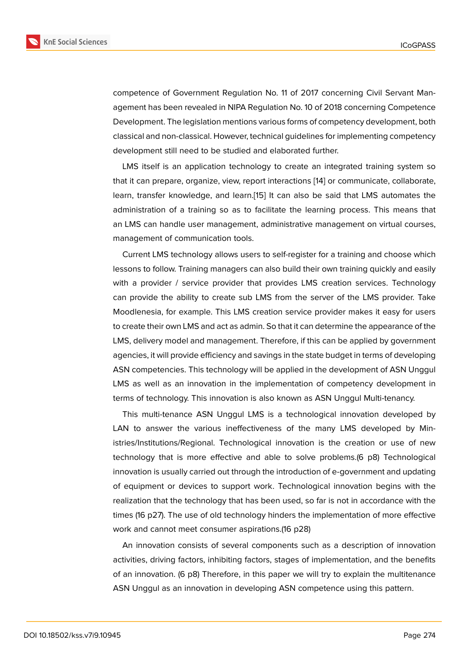competence of Government Regulation No. 11 of 2017 concerning Civil Servant Management has been revealed in NIPA Regulation No. 10 of 2018 concerning Competence Development. The legislation mentions various forms of competency development, both classical and non-classical. However, technical guidelines for implementing competency development still need to be studied and elaborated further.

LMS itself is an application technology to create an integrated training system so that it can prepare, organize, view, report interactions [14] or communicate, collaborate, learn, transfer knowledge, and learn.[15] It can also be said that LMS automates the administration of a training so as to facilitate the learning process. This means that an LMS can handle user management, administrative [ma](#page-23-9)nagement on virtual courses, management of communication tools.

Current LMS technology allows users to self-register for a training and choose which lessons to follow. Training managers can also build their own training quickly and easily with a provider / service provider that provides LMS creation services. Technology can provide the ability to create sub LMS from the server of the LMS provider. Take Moodlenesia, for example. This LMS creation service provider makes it easy for users to create their own LMS and act as admin. So that it can determine the appearance of the LMS, delivery model and management. Therefore, if this can be applied by government agencies, it will provide efficiency and savings in the state budget in terms of developing ASN competencies. This technology will be applied in the development of ASN Unggul LMS as well as an innovation in the implementation of competency development in terms of technology. This innovation is also known as ASN Unggul Multi-tenancy.

This multi-tenance ASN Unggul LMS is a technological innovation developed by LAN to answer the various ineffectiveness of the many LMS developed by Ministries/Institutions/Regional. Technological innovation is the creation or use of new technology that is more effective and able to solve problems.(6 p8) Technological innovation is usually carried out through the introduction of e-government and updating of equipment or devices to support work. Technological innovation begins with the realization that the technology that has been used, so far is not in accordance with the times (16 p27). The use of old technology hinders the implementation of more effective work and cannot meet consumer aspirations.(16 p28)

An innovation consists of several components such as a description of innovation activities, driving factors, inhibiting factors, stages of implementation, and the benefits of an innovation. (6 p8) Therefore, in this paper we will try to explain the multitenance ASN Unggul as an innovation in developing ASN competence using this pattern.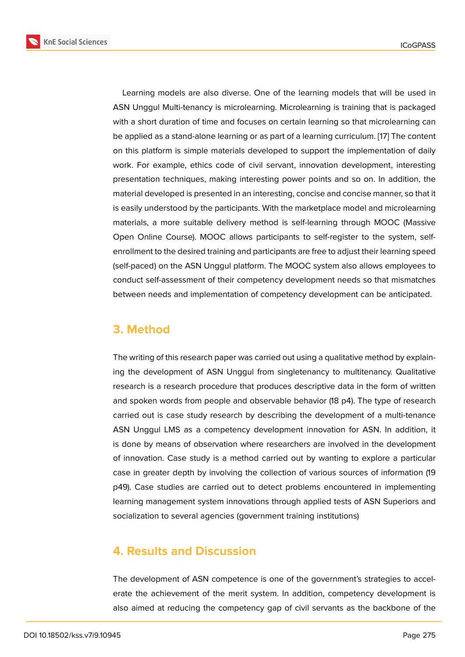Learning models are also diverse. One of the learning models that will be used in ASN Unggul Multi-tenancy is microlearning. Microlearning is training that is packaged with a short duration of time and focuses on certain learning so that microlearning can be applied as a stand-alone learning or as part of a learning curriculum. [17] The content on this platform is simple materials developed to support the implementation of daily work. For example, ethics code of civil servant, innovation development, interesting presentation techniques, making interesting power points and so on. [In](#page-24-0) addition, the material developed is presented in an interesting, concise and concise manner, so that it is easily understood by the participants. With the marketplace model and microlearning materials, a more suitable delivery method is self-learning through MOOC (Massive Open Online Course). MOOC allows participants to self-register to the system, selfenrollment to the desired training and participants are free to adjust their learning speed (self-paced) on the ASN Unggul platform. The MOOC system also allows employees to conduct self-assessment of their competency development needs so that mismatches between needs and implementation of competency development can be anticipated.

# **3. Method**

The writing of this research paper was carried out using a qualitative method by explaining the development of ASN Unggul from singletenancy to multitenancy. Qualitative research is a research procedure that produces descriptive data in the form of written and spoken words from people and observable behavior (18 p4). The type of research carried out is case study research by describing the development of a multi-tenance ASN Unggul LMS as a competency development innovation for ASN. In addition, it is done by means of observation where researchers are involved in the development of innovation. Case study is a method carried out by wanting to explore a particular case in greater depth by involving the collection of various sources of information (19 p49). Case studies are carried out to detect problems encountered in implementing learning management system innovations through applied tests of ASN Superiors and socialization to several agencies (government training institutions)

# **4. Results and Discussion**

The development of ASN competence is one of the government's strategies to accelerate the achievement of the merit system. In addition, competency development is also aimed at reducing the competency gap of civil servants as the backbone of the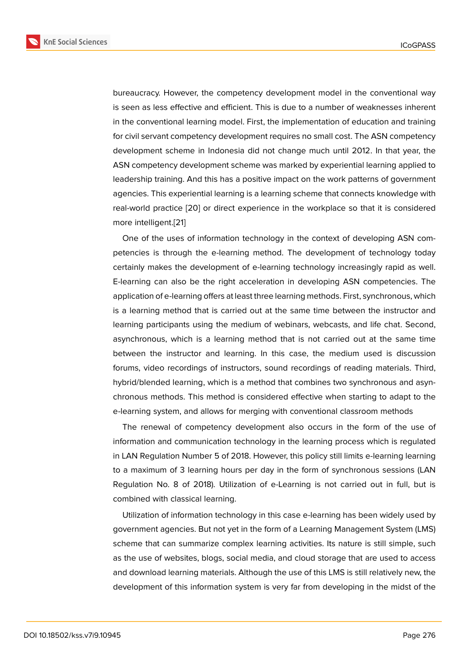bureaucracy. However, the competency development model in the conventional way is seen as less effective and efficient. This is due to a number of weaknesses inherent in the conventional learning model. First, the implementation of education and training for civil servant competency development requires no small cost. The ASN competency development scheme in Indonesia did not change much until 2012. In that year, the ASN competency development scheme was marked by experiential learning applied to leadership training. And this has a positive impact on the work patterns of government agencies. This experiential learning is a learning scheme that connects knowledge with real-world practice [20] or direct experience in the workplace so that it is considered more intelligent.[21]

One of the uses of information technology in the context of developing ASN competencies is throug[h t](#page-24-1)he e-learning method. The development of technology today certainly makes [the](#page-24-2) development of e-learning technology increasingly rapid as well. E-learning can also be the right acceleration in developing ASN competencies. The application of e-learning offers at least three learning methods. First, synchronous, which is a learning method that is carried out at the same time between the instructor and learning participants using the medium of webinars, webcasts, and life chat. Second, asynchronous, which is a learning method that is not carried out at the same time between the instructor and learning. In this case, the medium used is discussion forums, video recordings of instructors, sound recordings of reading materials. Third, hybrid/blended learning, which is a method that combines two synchronous and asynchronous methods. This method is considered effective when starting to adapt to the e-learning system, and allows for merging with conventional classroom methods

The renewal of competency development also occurs in the form of the use of information and communication technology in the learning process which is regulated in LAN Regulation Number 5 of 2018. However, this policy still limits e-learning learning to a maximum of 3 learning hours per day in the form of synchronous sessions (LAN Regulation No. 8 of 2018). Utilization of e-Learning is not carried out in full, but is combined with classical learning.

Utilization of information technology in this case e-learning has been widely used by government agencies. But not yet in the form of a Learning Management System (LMS) scheme that can summarize complex learning activities. Its nature is still simple, such as the use of websites, blogs, social media, and cloud storage that are used to access and download learning materials. Although the use of this LMS is still relatively new, the development of this information system is very far from developing in the midst of the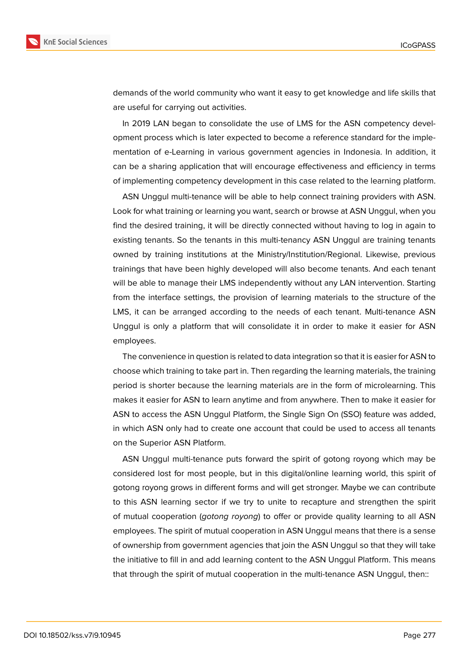

demands of the world community who want it easy to get knowledge and life skills that are useful for carrying out activities.

In 2019 LAN began to consolidate the use of LMS for the ASN competency development process which is later expected to become a reference standard for the implementation of e-Learning in various government agencies in Indonesia. In addition, it can be a sharing application that will encourage effectiveness and efficiency in terms of implementing competency development in this case related to the learning platform.

ASN Unggul multi-tenance will be able to help connect training providers with ASN. Look for what training or learning you want, search or browse at ASN Unggul, when you find the desired training, it will be directly connected without having to log in again to existing tenants. So the tenants in this multi-tenancy ASN Unggul are training tenants owned by training institutions at the Ministry/Institution/Regional. Likewise, previous trainings that have been highly developed will also become tenants. And each tenant will be able to manage their LMS independently without any LAN intervention. Starting from the interface settings, the provision of learning materials to the structure of the LMS, it can be arranged according to the needs of each tenant. Multi-tenance ASN Unggul is only a platform that will consolidate it in order to make it easier for ASN employees.

The convenience in question is related to data integration so that it is easier for ASN to choose which training to take part in. Then regarding the learning materials, the training period is shorter because the learning materials are in the form of microlearning. This makes it easier for ASN to learn anytime and from anywhere. Then to make it easier for ASN to access the ASN Unggul Platform, the Single Sign On (SSO) feature was added, in which ASN only had to create one account that could be used to access all tenants on the Superior ASN Platform.

ASN Unggul multi-tenance puts forward the spirit of gotong royong which may be considered lost for most people, but in this digital/online learning world, this spirit of gotong royong grows in different forms and will get stronger. Maybe we can contribute to this ASN learning sector if we try to unite to recapture and strengthen the spirit of mutual cooperation (*gotong royong*) to offer or provide quality learning to all ASN employees. The spirit of mutual cooperation in ASN Unggul means that there is a sense of ownership from government agencies that join the ASN Unggul so that they will take the initiative to fill in and add learning content to the ASN Unggul Platform. This means that through the spirit of mutual cooperation in the multi-tenance ASN Unggul, then::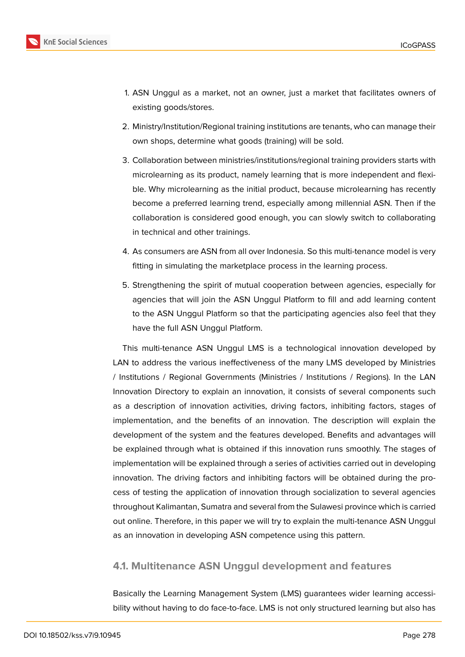

- 1. ASN Unggul as a market, not an owner, just a market that facilitates owners of existing goods/stores.
- 2. Ministry/Institution/Regional training institutions are tenants, who can manage their own shops, determine what goods (training) will be sold.
- 3. Collaboration between ministries/institutions/regional training providers starts with microlearning as its product, namely learning that is more independent and flexible. Why microlearning as the initial product, because microlearning has recently become a preferred learning trend, especially among millennial ASN. Then if the collaboration is considered good enough, you can slowly switch to collaborating in technical and other trainings.
- 4. As consumers are ASN from all over Indonesia. So this multi-tenance model is very fitting in simulating the marketplace process in the learning process.
- 5. Strengthening the spirit of mutual cooperation between agencies, especially for agencies that will join the ASN Unggul Platform to fill and add learning content to the ASN Unggul Platform so that the participating agencies also feel that they have the full ASN Unggul Platform.

This multi-tenance ASN Unggul LMS is a technological innovation developed by LAN to address the various ineffectiveness of the many LMS developed by Ministries / Institutions / Regional Governments (Ministries / Institutions / Regions). In the LAN Innovation Directory to explain an innovation, it consists of several components such as a description of innovation activities, driving factors, inhibiting factors, stages of implementation, and the benefits of an innovation. The description will explain the development of the system and the features developed. Benefits and advantages will be explained through what is obtained if this innovation runs smoothly. The stages of implementation will be explained through a series of activities carried out in developing innovation. The driving factors and inhibiting factors will be obtained during the process of testing the application of innovation through socialization to several agencies throughout Kalimantan, Sumatra and several from the Sulawesi province which is carried out online. Therefore, in this paper we will try to explain the multi-tenance ASN Unggul as an innovation in developing ASN competence using this pattern.

### **4.1. Multitenance ASN Unggul development and features**

Basically the Learning Management System (LMS) guarantees wider learning accessibility without having to do face-to-face. LMS is not only structured learning but also has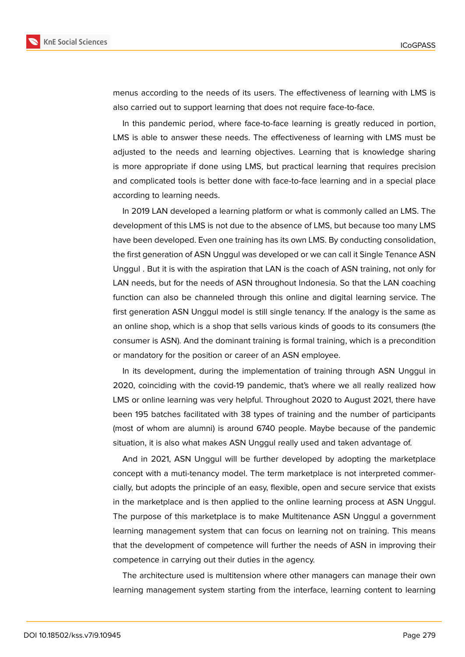

menus according to the needs of its users. The effectiveness of learning with LMS is also carried out to support learning that does not require face-to-face.

In this pandemic period, where face-to-face learning is greatly reduced in portion, LMS is able to answer these needs. The effectiveness of learning with LMS must be adjusted to the needs and learning objectives. Learning that is knowledge sharing is more appropriate if done using LMS, but practical learning that requires precision and complicated tools is better done with face-to-face learning and in a special place according to learning needs.

In 2019 LAN developed a learning platform or what is commonly called an LMS. The development of this LMS is not due to the absence of LMS, but because too many LMS have been developed. Even one training has its own LMS. By conducting consolidation, the first generation of ASN Unggul was developed or we can call it Single Tenance ASN Unggul . But it is with the aspiration that LAN is the coach of ASN training, not only for LAN needs, but for the needs of ASN throughout Indonesia. So that the LAN coaching function can also be channeled through this online and digital learning service. The first generation ASN Unggul model is still single tenancy. If the analogy is the same as an online shop, which is a shop that sells various kinds of goods to its consumers (the consumer is ASN). And the dominant training is formal training, which is a precondition or mandatory for the position or career of an ASN employee.

In its development, during the implementation of training through ASN Unggul in 2020, coinciding with the covid-19 pandemic, that's where we all really realized how LMS or online learning was very helpful. Throughout 2020 to August 2021, there have been 195 batches facilitated with 38 types of training and the number of participants (most of whom are alumni) is around 6740 people. Maybe because of the pandemic situation, it is also what makes ASN Unggul really used and taken advantage of.

And in 2021, ASN Unggul will be further developed by adopting the marketplace concept with a muti-tenancy model. The term marketplace is not interpreted commercially, but adopts the principle of an easy, flexible, open and secure service that exists in the marketplace and is then applied to the online learning process at ASN Unggul. The purpose of this marketplace is to make Multitenance ASN Unggul a government learning management system that can focus on learning not on training. This means that the development of competence will further the needs of ASN in improving their competence in carrying out their duties in the agency.

The architecture used is multitension where other managers can manage their own learning management system starting from the interface, learning content to learning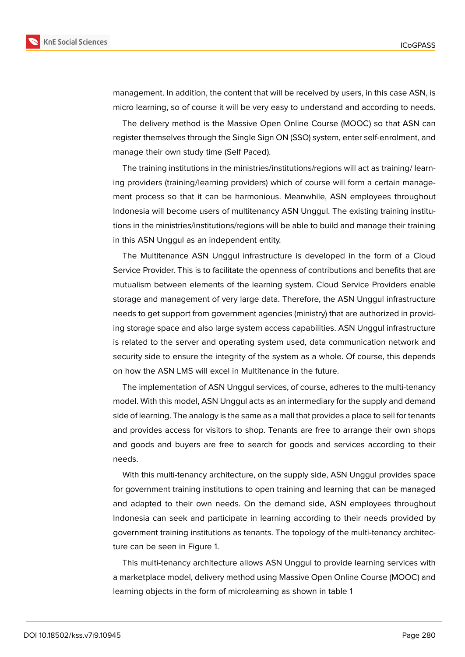management. In addition, the content that will be received by users, in this case ASN, is micro learning, so of course it will be very easy to understand and according to needs.

The delivery method is the Massive Open Online Course (MOOC) so that ASN can register themselves through the Single Sign ON (SSO) system, enter self-enrolment, and manage their own study time (Self Paced).

The training institutions in the ministries/institutions/regions will act as training/ learning providers (training/learning providers) which of course will form a certain management process so that it can be harmonious. Meanwhile, ASN employees throughout Indonesia will become users of multitenancy ASN Unggul. The existing training institutions in the ministries/institutions/regions will be able to build and manage their training in this ASN Unggul as an independent entity.

The Multitenance ASN Unggul infrastructure is developed in the form of a Cloud Service Provider. This is to facilitate the openness of contributions and benefits that are mutualism between elements of the learning system. Cloud Service Providers enable storage and management of very large data. Therefore, the ASN Unggul infrastructure needs to get support from government agencies (ministry) that are authorized in providing storage space and also large system access capabilities. ASN Unggul infrastructure is related to the server and operating system used, data communication network and security side to ensure the integrity of the system as a whole. Of course, this depends on how the ASN LMS will excel in Multitenance in the future.

The implementation of ASN Unggul services, of course, adheres to the multi-tenancy model. With this model, ASN Unggul acts as an intermediary for the supply and demand side of learning. The analogy is the same as a mall that provides a place to sell for tenants and provides access for visitors to shop. Tenants are free to arrange their own shops and goods and buyers are free to search for goods and services according to their needs.

With this multi-tenancy architecture, on the supply side, ASN Unggul provides space for government training institutions to open training and learning that can be managed and adapted to their own needs. On the demand side, ASN employees throughout Indonesia can seek and participate in learning according to their needs provided by government training institutions as tenants. The topology of the multi-tenancy architecture can be seen in Figure 1.

This multi-tenancy architecture allows ASN Unggul to provide learning services with a marketplace model, delivery method using Massive Open Online Course (MOOC) and learning objects in the for[m](#page-14-0) of microlearning as shown in table 1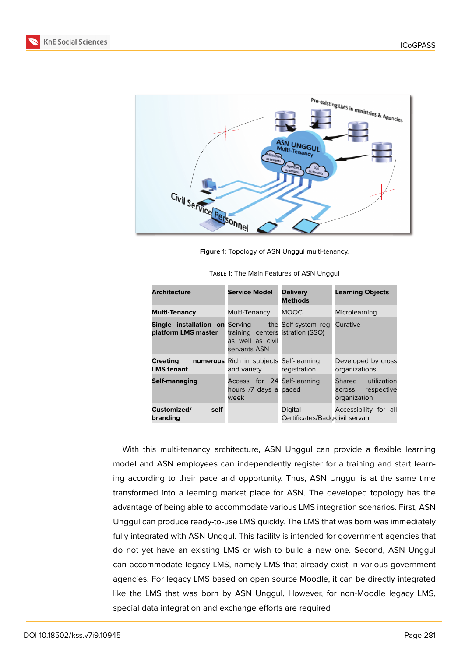



<span id="page-14-0"></span>**Figure** 1: Topology of ASN Unggul multi-tenancy.

| <b>Architecture</b>                                                               | Service Model                                                        | <b>Delivery</b><br><b>Methods</b>          | <b>Learning Objects</b>                                    |
|-----------------------------------------------------------------------------------|----------------------------------------------------------------------|--------------------------------------------|------------------------------------------------------------|
| <b>Multi-Tenancy</b>                                                              | Multi-Tenancy                                                        | <b>MOOC</b>                                | Microlearning                                              |
| <b>Single installation on</b> Serving the Self-system req-<br>platform LMS master | training centers istration (SSO)<br>as well as civil<br>servants ASN |                                            | Curative                                                   |
| <b>Creating</b><br><b>LMS tenant</b>                                              | numerous Rich in subjects Self-learning<br>and variety               | registration                               | Developed by cross<br>organizations                        |
| Self-managing                                                                     | Access for 24 Self-learning<br>hours /7 days a paced<br>week         |                                            | Shared utilization<br>respective<br>across<br>organization |
| Customized/<br>self-<br>branding                                                  |                                                                      | Digital<br>Certificates/Badgicivil servant | Accessibility for all                                      |

With this multi-tenancy architecture, ASN Unggul can provide a flexible learning model and ASN employees can independently register for a training and start learning according to their pace and opportunity. Thus, ASN Unggul is at the same time transformed into a learning market place for ASN. The developed topology has the advantage of being able to accommodate various LMS integration scenarios. First, ASN Unggul can produce ready-to-use LMS quickly. The LMS that was born was immediately fully integrated with ASN Unggul. This facility is intended for government agencies that do not yet have an existing LMS or wish to build a new one. Second, ASN Unggul can accommodate legacy LMS, namely LMS that already exist in various government agencies. For legacy LMS based on open source Moodle, it can be directly integrated like the LMS that was born by ASN Unggul. However, for non-Moodle legacy LMS, special data integration and exchange efforts are required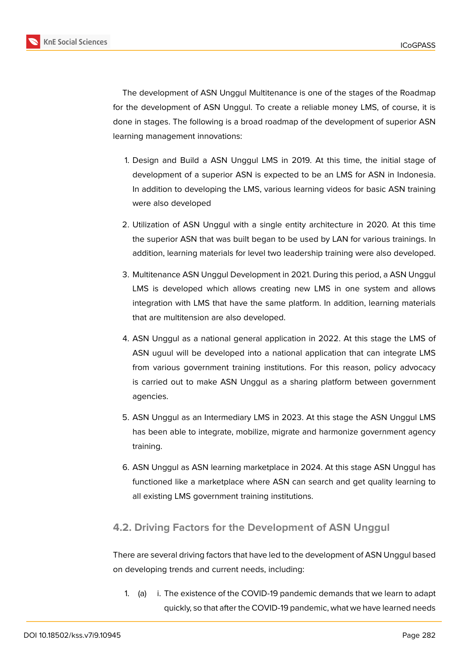**KnE Social Sciences** 



The development of ASN Unggul Multitenance is one of the stages of the Roadmap for the development of ASN Unggul. To create a reliable money LMS, of course, it is done in stages. The following is a broad roadmap of the development of superior ASN learning management innovations:

- 1. Design and Build a ASN Unggul LMS in 2019. At this time, the initial stage of development of a superior ASN is expected to be an LMS for ASN in Indonesia. In addition to developing the LMS, various learning videos for basic ASN training were also developed
- 2. Utilization of ASN Unggul with a single entity architecture in 2020. At this time the superior ASN that was built began to be used by LAN for various trainings. In addition, learning materials for level two leadership training were also developed.
- 3. Multitenance ASN Unggul Development in 2021. During this period, a ASN Unggul LMS is developed which allows creating new LMS in one system and allows integration with LMS that have the same platform. In addition, learning materials that are multitension are also developed.
- 4. ASN Unggul as a national general application in 2022. At this stage the LMS of ASN uguul will be developed into a national application that can integrate LMS from various government training institutions. For this reason, policy advocacy is carried out to make ASN Unggul as a sharing platform between government agencies.
- 5. ASN Unggul as an Intermediary LMS in 2023. At this stage the ASN Unggul LMS has been able to integrate, mobilize, migrate and harmonize government agency training.
- 6. ASN Unggul as ASN learning marketplace in 2024. At this stage ASN Unggul has functioned like a marketplace where ASN can search and get quality learning to all existing LMS government training institutions.

# **4.2. Driving Factors for the Development of ASN Unggul**

There are several driving factors that have led to the development of ASN Unggul based on developing trends and current needs, including:

1. (a) i. The existence of the COVID-19 pandemic demands that we learn to adapt quickly, so that after the COVID-19 pandemic, what we have learned needs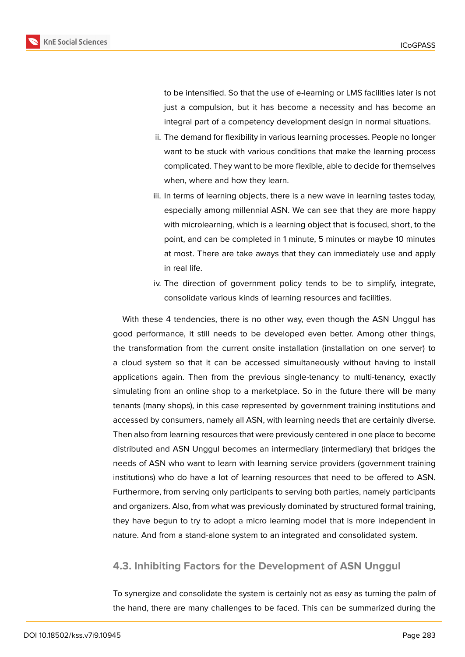

to be intensified. So that the use of e-learning or LMS facilities later is not just a compulsion, but it has become a necessity and has become an integral part of a competency development design in normal situations.

- ii. The demand for flexibility in various learning processes. People no longer want to be stuck with various conditions that make the learning process complicated. They want to be more flexible, able to decide for themselves when, where and how they learn.
- iii. In terms of learning objects, there is a new wave in learning tastes today, especially among millennial ASN. We can see that they are more happy with microlearning, which is a learning object that is focused, short, to the point, and can be completed in 1 minute, 5 minutes or maybe 10 minutes at most. There are take aways that they can immediately use and apply in real life.
- iv. The direction of government policy tends to be to simplify, integrate, consolidate various kinds of learning resources and facilities.

With these 4 tendencies, there is no other way, even though the ASN Unggul has good performance, it still needs to be developed even better. Among other things, the transformation from the current onsite installation (installation on one server) to a cloud system so that it can be accessed simultaneously without having to install applications again. Then from the previous single-tenancy to multi-tenancy, exactly simulating from an online shop to a marketplace. So in the future there will be many tenants (many shops), in this case represented by government training institutions and accessed by consumers, namely all ASN, with learning needs that are certainly diverse. Then also from learning resources that were previously centered in one place to become distributed and ASN Unggul becomes an intermediary (intermediary) that bridges the needs of ASN who want to learn with learning service providers (government training institutions) who do have a lot of learning resources that need to be offered to ASN. Furthermore, from serving only participants to serving both parties, namely participants and organizers. Also, from what was previously dominated by structured formal training, they have begun to try to adopt a micro learning model that is more independent in nature. And from a stand-alone system to an integrated and consolidated system.

### **4.3. Inhibiting Factors for the Development of ASN Unggul**

To synergize and consolidate the system is certainly not as easy as turning the palm of the hand, there are many challenges to be faced. This can be summarized during the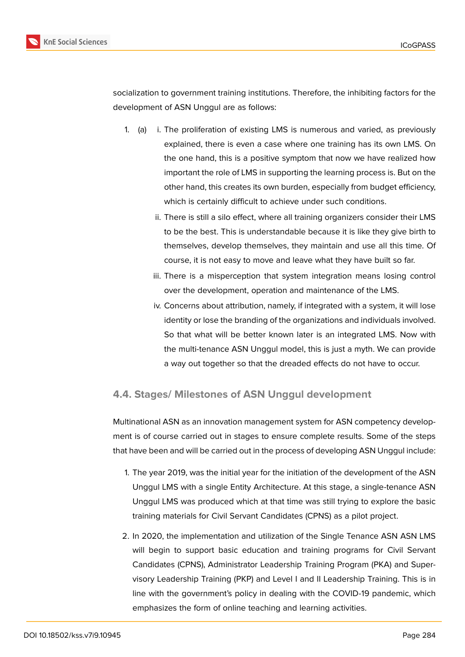

socialization to government training institutions. Therefore, the inhibiting factors for the development of ASN Unggul are as follows:

- 1. (a) i. The proliferation of existing LMS is numerous and varied, as previously explained, there is even a case where one training has its own LMS. On the one hand, this is a positive symptom that now we have realized how important the role of LMS in supporting the learning process is. But on the other hand, this creates its own burden, especially from budget efficiency, which is certainly difficult to achieve under such conditions.
	- ii. There is still a silo effect, where all training organizers consider their LMS to be the best. This is understandable because it is like they give birth to themselves, develop themselves, they maintain and use all this time. Of course, it is not easy to move and leave what they have built so far.
	- iii. There is a misperception that system integration means losing control over the development, operation and maintenance of the LMS.
	- iv. Concerns about attribution, namely, if integrated with a system, it will lose identity or lose the branding of the organizations and individuals involved. So that what will be better known later is an integrated LMS. Now with the multi-tenance ASN Unggul model, this is just a myth. We can provide a way out together so that the dreaded effects do not have to occur.

### **4.4. Stages/ Milestones of ASN Unggul development**

Multinational ASN as an innovation management system for ASN competency development is of course carried out in stages to ensure complete results. Some of the steps that have been and will be carried out in the process of developing ASN Unggul include:

- 1. The year 2019, was the initial year for the initiation of the development of the ASN Unggul LMS with a single Entity Architecture. At this stage, a single-tenance ASN Unggul LMS was produced which at that time was still trying to explore the basic training materials for Civil Servant Candidates (CPNS) as a pilot project.
- 2. In 2020, the implementation and utilization of the Single Tenance ASN ASN LMS will begin to support basic education and training programs for Civil Servant Candidates (CPNS), Administrator Leadership Training Program (PKA) and Supervisory Leadership Training (PKP) and Level I and II Leadership Training. This is in line with the government's policy in dealing with the COVID-19 pandemic, which emphasizes the form of online teaching and learning activities.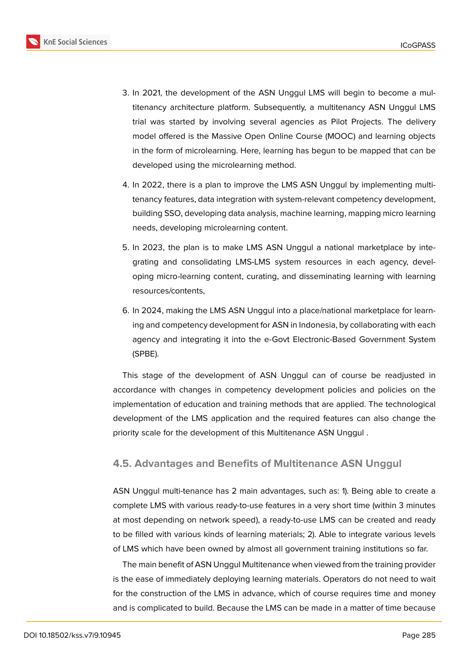

- 3. In 2021, the development of the ASN Unggul LMS will begin to become a multitenancy architecture platform. Subsequently, a multitenancy ASN Unggul LMS trial was started by involving several agencies as Pilot Projects. The delivery model offered is the Massive Open Online Course (MOOC) and learning objects in the form of microlearning. Here, learning has begun to be mapped that can be developed using the microlearning method.
- 4. In 2022, there is a plan to improve the LMS ASN Unggul by implementing multitenancy features, data integration with system-relevant competency development, building SSO, developing data analysis, machine learning, mapping micro learning needs, developing microlearning content.
- 5. In 2023, the plan is to make LMS ASN Unggul a national marketplace by integrating and consolidating LMS-LMS system resources in each agency, developing micro-learning content, curating, and disseminating learning with learning resources/contents,
- 6. In 2024, making the LMS ASN Unggul into a place/national marketplace for learning and competency development for ASN in Indonesia, by collaborating with each agency and integrating it into the e-Govt Electronic-Based Government System (SPBE).

This stage of the development of ASN Unggul can of course be readjusted in accordance with changes in competency development policies and policies on the implementation of education and training methods that are applied. The technological development of the LMS application and the required features can also change the priority scale for the development of this Multitenance ASN Unggul .

### **4.5. Advantages and Benefits of Multitenance ASN Unggul**

ASN Unggul multi-tenance has 2 main advantages, such as: 1). Being able to create a complete LMS with various ready-to-use features in a very short time (within 3 minutes at most depending on network speed), a ready-to-use LMS can be created and ready to be filled with various kinds of learning materials; 2). Able to integrate various levels of LMS which have been owned by almost all government training institutions so far.

The main benefit of ASN Unggul Multitenance when viewed from the training provider is the ease of immediately deploying learning materials. Operators do not need to wait for the construction of the LMS in advance, which of course requires time and money and is complicated to build. Because the LMS can be made in a matter of time because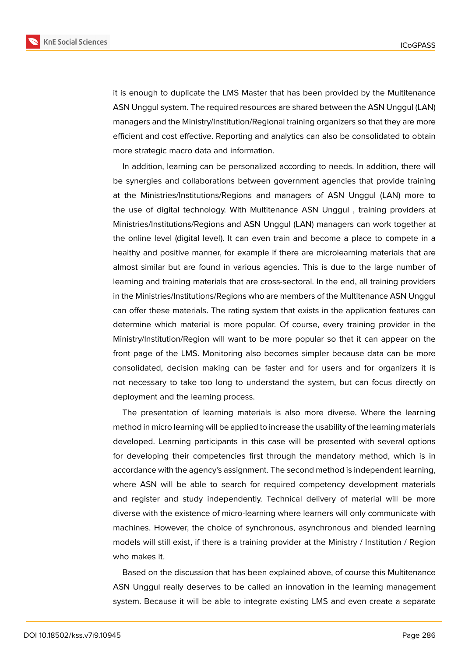

it is enough to duplicate the LMS Master that has been provided by the Multitenance ASN Unggul system. The required resources are shared between the ASN Unggul (LAN) managers and the Ministry/Institution/Regional training organizers so that they are more efficient and cost effective. Reporting and analytics can also be consolidated to obtain more strategic macro data and information.

In addition, learning can be personalized according to needs. In addition, there will be synergies and collaborations between government agencies that provide training at the Ministries/Institutions/Regions and managers of ASN Unggul (LAN) more to the use of digital technology. With Multitenance ASN Unggul , training providers at Ministries/Institutions/Regions and ASN Unggul (LAN) managers can work together at the online level (digital level). It can even train and become a place to compete in a healthy and positive manner, for example if there are microlearning materials that are almost similar but are found in various agencies. This is due to the large number of learning and training materials that are cross-sectoral. In the end, all training providers in the Ministries/Institutions/Regions who are members of the Multitenance ASN Unggul can offer these materials. The rating system that exists in the application features can determine which material is more popular. Of course, every training provider in the Ministry/Institution/Region will want to be more popular so that it can appear on the front page of the LMS. Monitoring also becomes simpler because data can be more consolidated, decision making can be faster and for users and for organizers it is not necessary to take too long to understand the system, but can focus directly on deployment and the learning process.

The presentation of learning materials is also more diverse. Where the learning method in micro learning will be applied to increase the usability of the learning materials developed. Learning participants in this case will be presented with several options for developing their competencies first through the mandatory method, which is in accordance with the agency's assignment. The second method is independent learning, where ASN will be able to search for required competency development materials and register and study independently. Technical delivery of material will be more diverse with the existence of micro-learning where learners will only communicate with machines. However, the choice of synchronous, asynchronous and blended learning models will still exist, if there is a training provider at the Ministry / Institution / Region who makes it.

Based on the discussion that has been explained above, of course this Multitenance ASN Unggul really deserves to be called an innovation in the learning management system. Because it will be able to integrate existing LMS and even create a separate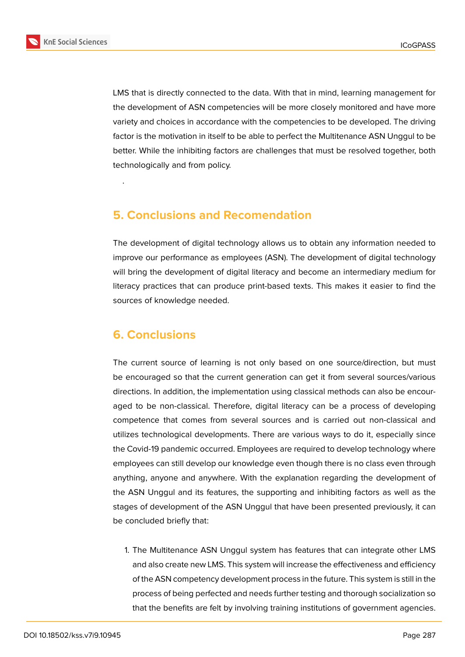

LMS that is directly connected to the data. With that in mind, learning management for the development of ASN competencies will be more closely monitored and have more variety and choices in accordance with the competencies to be developed. The driving factor is the motivation in itself to be able to perfect the Multitenance ASN Unggul to be better. While the inhibiting factors are challenges that must be resolved together, both technologically and from policy.

# **5. Conclusions and Recomendation**

The development of digital technology allows us to obtain any information needed to improve our performance as employees (ASN). The development of digital technology will bring the development of digital literacy and become an intermediary medium for literacy practices that can produce print-based texts. This makes it easier to find the sources of knowledge needed.

# **6. Conclusions**

.

The current source of learning is not only based on one source/direction, but must be encouraged so that the current generation can get it from several sources/various directions. In addition, the implementation using classical methods can also be encouraged to be non-classical. Therefore, digital literacy can be a process of developing competence that comes from several sources and is carried out non-classical and utilizes technological developments. There are various ways to do it, especially since the Covid-19 pandemic occurred. Employees are required to develop technology where employees can still develop our knowledge even though there is no class even through anything, anyone and anywhere. With the explanation regarding the development of the ASN Unggul and its features, the supporting and inhibiting factors as well as the stages of development of the ASN Unggul that have been presented previously, it can be concluded briefly that:

1. The Multitenance ASN Unggul system has features that can integrate other LMS and also create new LMS. This system will increase the effectiveness and efficiency of the ASN competency development process in the future. This system is still in the process of being perfected and needs further testing and thorough socialization so that the benefits are felt by involving training institutions of government agencies.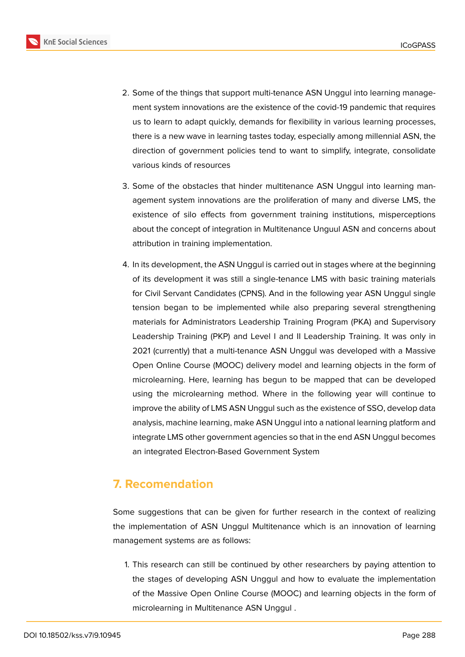

- 2. Some of the things that support multi-tenance ASN Unggul into learning management system innovations are the existence of the covid-19 pandemic that requires us to learn to adapt quickly, demands for flexibility in various learning processes, there is a new wave in learning tastes today, especially among millennial ASN, the direction of government policies tend to want to simplify, integrate, consolidate various kinds of resources
- 3. Some of the obstacles that hinder multitenance ASN Unggul into learning management system innovations are the proliferation of many and diverse LMS, the existence of silo effects from government training institutions, misperceptions about the concept of integration in Multitenance Unguul ASN and concerns about attribution in training implementation.
- 4. In its development, the ASN Unggul is carried out in stages where at the beginning of its development it was still a single-tenance LMS with basic training materials for Civil Servant Candidates (CPNS). And in the following year ASN Unggul single tension began to be implemented while also preparing several strengthening materials for Administrators Leadership Training Program (PKA) and Supervisory Leadership Training (PKP) and Level I and II Leadership Training. It was only in 2021 (currently) that a multi-tenance ASN Unggul was developed with a Massive Open Online Course (MOOC) delivery model and learning objects in the form of microlearning. Here, learning has begun to be mapped that can be developed using the microlearning method. Where in the following year will continue to improve the ability of LMS ASN Unggul such as the existence of SSO, develop data analysis, machine learning, make ASN Unggul into a national learning platform and integrate LMS other government agencies so that in the end ASN Unggul becomes an integrated Electron-Based Government System

# **7. Recomendation**

Some suggestions that can be given for further research in the context of realizing the implementation of ASN Unggul Multitenance which is an innovation of learning management systems are as follows:

1. This research can still be continued by other researchers by paying attention to the stages of developing ASN Unggul and how to evaluate the implementation of the Massive Open Online Course (MOOC) and learning objects in the form of microlearning in Multitenance ASN Unggul .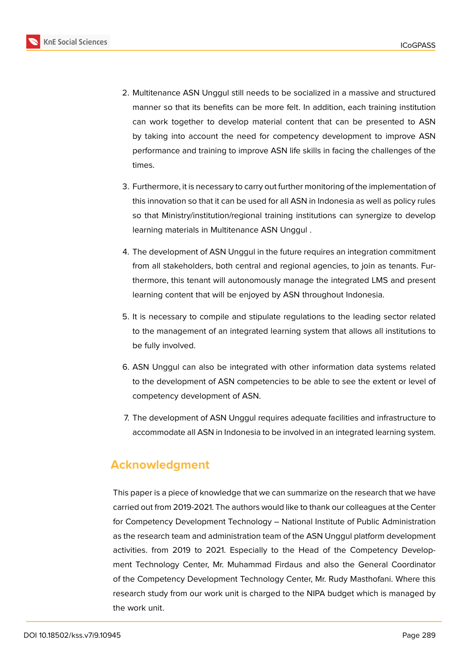

- 2. Multitenance ASN Unggul still needs to be socialized in a massive and structured manner so that its benefits can be more felt. In addition, each training institution can work together to develop material content that can be presented to ASN by taking into account the need for competency development to improve ASN performance and training to improve ASN life skills in facing the challenges of the times.
	- 3. Furthermore, it is necessary to carry out further monitoring of the implementation of this innovation so that it can be used for all ASN in Indonesia as well as policy rules so that Ministry/institution/regional training institutions can synergize to develop learning materials in Multitenance ASN Unggul .
	- 4. The development of ASN Unggul in the future requires an integration commitment from all stakeholders, both central and regional agencies, to join as tenants. Furthermore, this tenant will autonomously manage the integrated LMS and present learning content that will be enjoyed by ASN throughout Indonesia.
	- 5. It is necessary to compile and stipulate regulations to the leading sector related to the management of an integrated learning system that allows all institutions to be fully involved.
	- 6. ASN Unggul can also be integrated with other information data systems related to the development of ASN competencies to be able to see the extent or level of competency development of ASN.
	- 7. The development of ASN Unggul requires adequate facilities and infrastructure to accommodate all ASN in Indonesia to be involved in an integrated learning system.

# **Acknowledgment**

This paper is a piece of knowledge that we can summarize on the research that we have carried out from 2019-2021. The authors would like to thank our colleagues at the Center for Competency Development Technology – National Institute of Public Administration as the research team and administration team of the ASN Unggul platform development activities. from 2019 to 2021. Especially to the Head of the Competency Development Technology Center, Mr. Muhammad Firdaus and also the General Coordinator of the Competency Development Technology Center, Mr. Rudy Masthofani. Where this research study from our work unit is charged to the NIPA budget which is managed by the work unit.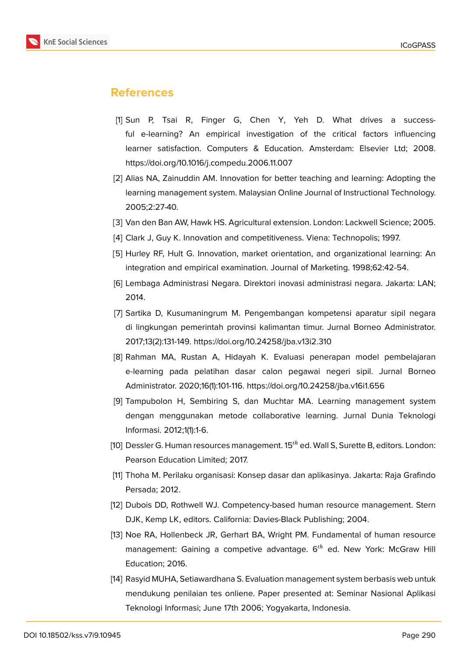

# **References**

- <span id="page-23-0"></span>[1] Sun P, Tsai R, Finger G, Chen Y, Yeh D. What drives a successful e-learning? An empirical investigation of the critical factors influencing learner satisfaction. Computers & Education. Amsterdam: Elsevier Ltd; 2008. https://doi.org/10.1016/j.compedu.2006.11.007
- <span id="page-23-1"></span>[2] Alias NA, Zainuddin AM. Innovation for better teaching and learning: Adopting the learning management system. Malaysian Online Journal of Instructional Technology. 2005;2:27-40.
- <span id="page-23-2"></span>[3] Van den Ban AW, Hawk HS. Agricultural extension. London: Lackwell Science; 2005.
- [4] Clark J, Guy K. Innovation and competitiveness. Viena: Technopolis; 1997.
- <span id="page-23-3"></span>[5] Hurley RF, Hult G. Innovation, market orientation, and organizational learning: An integration and empirical examination. Journal of Marketing. 1998;62:42-54.
- <span id="page-23-4"></span>[6] Lembaga Administrasi Negara. Direktori inovasi administrasi negara. Jakarta: LAN; 2014.
- <span id="page-23-5"></span>[7] Sartika D, Kusumaningrum M. Pengembangan kompetensi aparatur sipil negara di lingkungan pemerintah provinsi kalimantan timur. Jurnal Borneo Administrator. 2017;13(2):131-149. https://doi.org/10.24258/jba.v13i2.310
- [8] Rahman MA, Rustan A, Hidayah K. Evaluasi penerapan model pembelajaran e-learning pada pelatihan dasar calon pegawai negeri sipil. Jurnal Borneo Administrator. 2020;16(1):101-116. https://doi.org/10.24258/jba.v16i1.656
- [9] Tampubolon H, Sembiring S, dan Muchtar MA. Learning management system dengan menggunakan metode collaborative learning. Jurnal Dunia Teknologi Informasi. 2012;1(1):1-6.
- <span id="page-23-6"></span>[10] Dessler G. Human resources management.  $15<sup>th</sup>$  ed. Wall S, Surette B, editors. London: Pearson Education Limited; 2017.
- [11] Thoha M. Perilaku organisasi: Konsep dasar dan aplikasinya. Jakarta: Raja Grafindo Persada; 2012.
- <span id="page-23-8"></span>[12] Dubois DD, Rothwell WJ. Competency-based human resource management. Stern DJK, Kemp LK, editors. California: Davies-Black Publishing; 2004.
- <span id="page-23-7"></span>[13] Noe RA, Hollenbeck JR, Gerhart BA, Wright PM. Fundamental of human resource management: Gaining a competive advantage.  $6<sup>th</sup>$  ed. New York: McGraw Hill Education; 2016.
- <span id="page-23-9"></span>[14] Rasyid MUHA, Setiawardhana S. Evaluation management system berbasis web untuk mendukung penilaian tes onliene. Paper presented at: Seminar Nasional Aplikasi Teknologi Informasi; June 17th 2006; Yogyakarta, Indonesia.